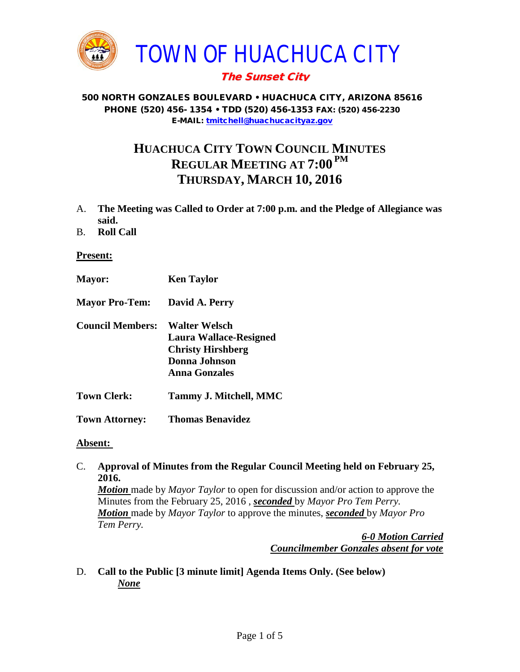

## The Sunset City

#### 500 NORTH GONZALES BOULEVARD • HUACHUCA CITY, ARIZONA 85616 PHONE (520) 456- 1354 • TDD (520) 456-1353 FAX: (520) 456-2230 E-MAIL: [tmitchell@huachucacityaz.gov](mailto:tmitchell@huachucacityaz.gov)

# **HUACHUCA CITY TOWN COUNCIL MINUTES REGULAR MEETING AT 7:00 PM THURSDAY, MARCH 10, 2016**

- A. **The Meeting was Called to Order at 7:00 p.m. and the Pledge of Allegiance was said.**
- B. **Roll Call**

#### **Present:**

- **Mayor: Ken Taylor**
- **Mayor Pro-Tem: David A. Perry**
- **Council Members: Walter Welsch Laura Wallace-Resigned Christy Hirshberg Donna Johnson Anna Gonzales**
- **Town Clerk: Tammy J. Mitchell, MMC**
- **Town Attorney: Thomas Benavidez**

#### **Absent:**

C. **Approval of Minutes from the Regular Council Meeting held on February 25, 2016.**

*Motion* made by *Mayor Taylor* to open for discussion and/or action to approve the Minutes from the February 25, 2016 , *seconded* by *Mayor Pro Tem Perry. Motion* made by *Mayor Taylor* to approve the minutes, *seconded* by *Mayor Pro Tem Perry.*

> *6-0 Motion Carried Councilmember Gonzales absent for vote*

D. **Call to the Public [3 minute limit] Agenda Items Only. (See below)** *None*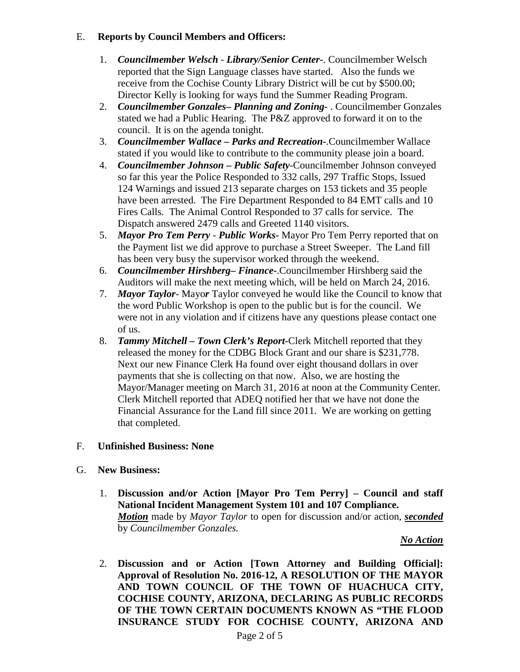## E. **Reports by Council Members and Officers:**

- 1. *Councilmember Welsch - Library/Senior Center***-**. Councilmember Welsch reported that the Sign Language classes have started. Also the funds we receive from the Cochise County Library District will be cut by \$500.00; Director Kelly is looking for ways fund the Summer Reading Program.
- 2. *Councilmember Gonzales***–** *Planning and Zoning-* . Councilmember Gonzales stated we had a Public Hearing. The P&Z approved to forward it on to the council. It is on the agenda tonight.
- 3. *Councilmember Wallace* **–** *Parks and Recreation***-**.Councilmember Wallace stated if you would like to contribute to the community please join a board.
- 4. *Councilmember Johnson – Public Safety-*Councilmember Johnson conveyed so far this year the Police Responded to 332 calls, 297 Traffic Stops, Issued 124 Warnings and issued 213 separate charges on 153 tickets and 35 people have been arrested. The Fire Department Responded to 84 EMT calls and 10 Fires Calls. The Animal Control Responded to 37 calls for service. The Dispatch answered 2479 calls and Greeted 1140 visitors.
- 5. *Mayor Pro Tem Perry Public Works-* Mayor Pro Tem Perry reported that on the Payment list we did approve to purchase a Street Sweeper. The Land fill has been very busy the supervisor worked through the weekend.
- 6. *Councilmember Hirshberg***–** *Finance-*.Councilmember Hirshberg said the Auditors will make the next meeting which, will be held on March 24, 2016.
- 7. *Mayor Taylor* Mayo*r* Taylor conveyed he would like the Council to know that the word Public Workshop is open to the public but is for the council. We were not in any violation and if citizens have any questions please contact one of us.
- 8. *Tammy Mitchell – Town Clerk's Report-*Clerk Mitchell reported that they released the money for the CDBG Block Grant and our share is \$231,778. Next our new Finance Clerk Ha found over eight thousand dollars in over payments that she is collecting on that now. Also, we are hosting the Mayor/Manager meeting on March 31, 2016 at noon at the Community Center. Clerk Mitchell reported that ADEQ notified her that we have not done the Financial Assurance for the Land fill since 2011. We are working on getting that completed.

## F. **Unfinished Business: None**

- G. **New Business:** 
	- 1. **Discussion and/or Action [Mayor Pro Tem Perry] – Council and staff National Incident Management System 101 and 107 Compliance.**  *Motion* made by *Mayor Taylor* to open for discussion and/or action, *seconded* by *Councilmember Gonzales.*

*No Action*

2. **Discussion and or Action [Town Attorney and Building Official]: Approval of Resolution No. 2016-12, A RESOLUTION OF THE MAYOR AND TOWN COUNCIL OF THE TOWN OF HUACHUCA CITY, COCHISE COUNTY, ARIZONA, DECLARING AS PUBLIC RECORDS OF THE TOWN CERTAIN DOCUMENTS KNOWN AS "THE FLOOD INSURANCE STUDY FOR COCHISE COUNTY, ARIZONA AND**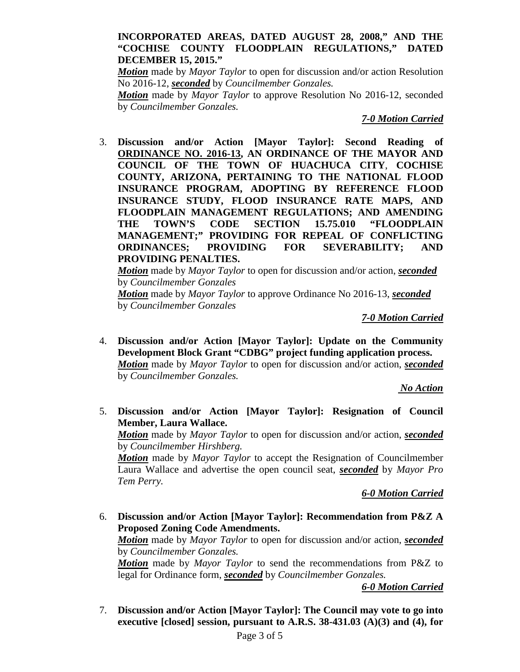#### **INCORPORATED AREAS, DATED AUGUST 28, 2008," AND THE "COCHISE COUNTY FLOODPLAIN REGULATIONS," DATED DECEMBER 15, 2015."**

*Motion* made by *Mayor Taylor* to open for discussion and/or action Resolution No 2016-12, *seconded* by *Councilmember Gonzales.*

*Motion* made by *Mayor Taylor* to approve Resolution No 2016-12, seconded by *Councilmember Gonzales.*

*7-0 Motion Carried*

3. **Discussion and/or Action [Mayor Taylor]: Second Reading of ORDINANCE NO. 2016-13, AN ORDINANCE OF THE MAYOR AND COUNCIL OF THE TOWN OF HUACHUCA CITY**, **COCHISE COUNTY, ARIZONA, PERTAINING TO THE NATIONAL FLOOD INSURANCE PROGRAM, ADOPTING BY REFERENCE FLOOD INSURANCE STUDY, FLOOD INSURANCE RATE MAPS, AND FLOODPLAIN MANAGEMENT REGULATIONS; AND AMENDING THE TOWN'S CODE SECTION 15.75.010 "FLOODPLAIN MANAGEMENT;" PROVIDING FOR REPEAL OF CONFLICTING ORDINANCES; PROVIDING FOR SEVERABILITY; AND PROVIDING PENALTIES.**

*Motion* made by *Mayor Taylor* to open for discussion and/or action, *seconded* by *Councilmember Gonzales*

*Motion* made by *Mayor Taylor* to approve Ordinance No 2016-13, *seconded* by *Councilmember Gonzales*

*7-0 Motion Carried*

4. **Discussion and/or Action [Mayor Taylor]: Update on the Community Development Block Grant "CDBG" project funding application process.**  *Motion* made by *Mayor Taylor* to open for discussion and/or action, *seconded* by *Councilmember Gonzales.*

*No Action*

5. **Discussion and/or Action [Mayor Taylor]: Resignation of Council Member, Laura Wallace.**

*Motion* made by *Mayor Taylor* to open for discussion and/or action, *seconded* by *Councilmember Hirshberg.*

*Motion* made by *Mayor Taylor* to accept the Resignation of Councilmember Laura Wallace and advertise the open council seat, *seconded* by *Mayor Pro Tem Perry.*

*6-0 Motion Carried*

6. **Discussion and/or Action [Mayor Taylor]: Recommendation from P&Z A Proposed Zoning Code Amendments.** 

*Motion* made by *Mayor Taylor* to open for discussion and/or action, *seconded* by *Councilmember Gonzales.*

*Motion* made by *Mayor Taylor* to send the recommendations from P&Z to legal for Ordinance form, *seconded* by *Councilmember Gonzales.*

#### *6-0 Motion Carried*

7. **Discussion and/or Action [Mayor Taylor]: The Council may vote to go into executive [closed] session, pursuant to A.R.S. 38-431.03 (A)(3) and (4), for**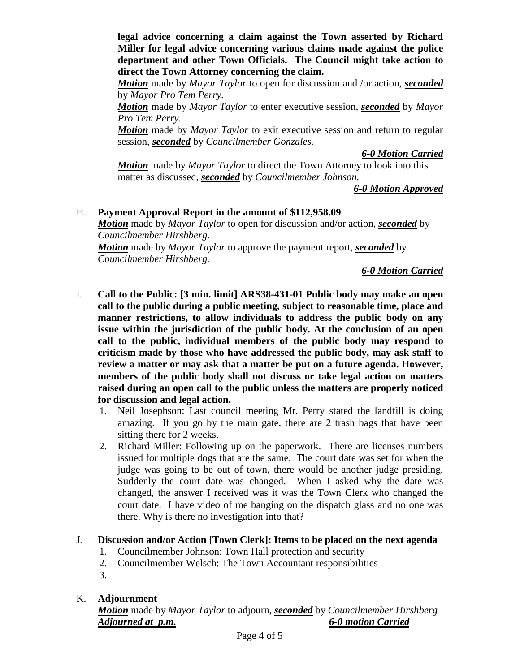**legal advice concerning a claim against the Town asserted by Richard Miller for legal advice concerning various claims made against the police department and other Town Officials. The Council might take action to direct the Town Attorney concerning the claim.**

*Motion* made by *Mayor Taylor* to open for discussion and /or action, *seconded* by *Mayor Pro Tem Perry.*

*Motion* made by *Mayor Taylor* to enter executive session, *seconded* by *Mayor Pro Tem Perry.*

*Motion* made by *Mayor Taylor* to exit executive session and return to regular session, *seconded* by *Councilmember Gonzales.*

*6-0 Motion Carried*

*Motion* made by *Mayor Taylor* to direct the Town Attorney to look into this matter as discussed, *seconded* by *Councilmember Johnson.*

*6-0 Motion Approved*

### H. **Payment Approval Report in the amount of \$112,958.09**

*Motion* made by *Mayor Taylor* to open for discussion and/or action, *seconded* by *Councilmember Hirshberg.*

*Motion* made by *Mayor Taylor* to approve the payment report, *seconded* by *Councilmember Hirshberg.*

*6-0 Motion Carried*

- I. **Call to the Public: [3 min. limit] ARS38-431-01 Public body may make an open call to the public during a public meeting, subject to reasonable time, place and manner restrictions, to allow individuals to address the public body on any issue within the jurisdiction of the public body. At the conclusion of an open call to the public, individual members of the public body may respond to criticism made by those who have addressed the public body, may ask staff to review a matter or may ask that a matter be put on a future agenda. However, members of the public body shall not discuss or take legal action on matters raised during an open call to the public unless the matters are properly noticed for discussion and legal action.**
	- 1. Neil Josephson: Last council meeting Mr. Perry stated the landfill is doing amazing. If you go by the main gate, there are 2 trash bags that have been sitting there for 2 weeks.
	- 2. Richard Miller: Following up on the paperwork. There are licenses numbers issued for multiple dogs that are the same. The court date was set for when the judge was going to be out of town, there would be another judge presiding. Suddenly the court date was changed. When I asked why the date was changed, the answer I received was it was the Town Clerk who changed the court date. I have video of me banging on the dispatch glass and no one was there. Why is there no investigation into that?

## J. **Discussion and/or Action [Town Clerk]: Items to be placed on the next agenda**

- 1. Councilmember Johnson: Town Hall protection and security
- 2. Councilmember Welsch: The Town Accountant responsibilities
- 3.

## K. **Adjournment**

*Motion* made by *Mayor Taylor* to adjourn, *seconded* by *Councilmember Hirshberg Adjourned at p.m. 6-0 motion Carried*